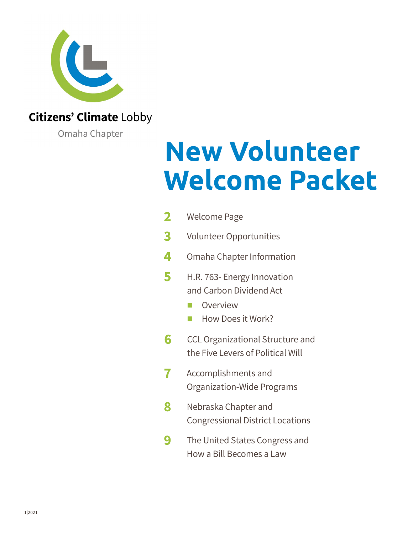

### **Citizens' Climate Lobby**

Omaha Chapter

# **New Volunteer Welcome Packet**

| $\overline{\mathbf{2}}$ | <b>Welcome Page</b>                                                                     |
|-------------------------|-----------------------------------------------------------------------------------------|
| 3                       | <b>Volunteer Opportunities</b>                                                          |
| 4                       | Omaha Chapter Information                                                               |
| 5                       | H.R. 763- Energy Innovation<br>and Carbon Dividend Act<br>Overview<br>How Does it Work? |
| 6                       | CCL Organizational Structure and<br>the Five Levers of Political Will                   |
| 7                       | Accomplishments and<br>Organization-Wide Programs                                       |
| 8                       | Nebraska Chapter and<br><b>Congressional District Locations</b>                         |
| 9                       | The United States Congress and<br>How a Bill Becomes a Law                              |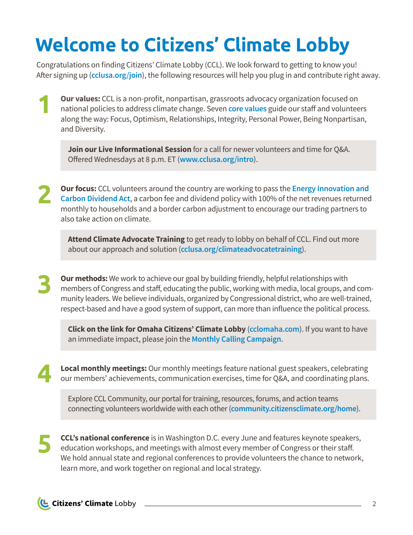## <span id="page-1-0"></span>**Welcome to Citizens' Climate Lobby**

Congratulations on finding Citizens' Climate Lobby (CCL). We look forward to getting to know you! After signing up (**[cclusa.org/join](https://citizensclimatelobby.org/join-citizens-climate-lobby/)**), the following resources will help you plug in and contribute right away.

**Our values:** CCL is a non-profit, nonpartisan, grassroots advocacy organization focused on national policies to address climate change. Seven **[core values](https://citizensclimatelobby.org/about-ccl/values/)** guide our staff and volunteers along the way: Focus, Optimism, Relationships, Integrity, Personal Power, Being Nonpartisan, and Diversity. **1**

**Join our Live Informational Session** for a call for newer volunteers and time for Q&A. Offered Wednesdays at 8 p.m. ET (**[www.cclusa.org/intro](https://citizensclimatelobby.org/informational-session/)**).

**Our focus:** CCL volunteers around the country are working to pass the **[Energy Innovation and](https://citizensclimatelobby.org/energy-innovation-and-carbon-dividend-act/)  [Carbon Dividend Act](https://citizensclimatelobby.org/energy-innovation-and-carbon-dividend-act/)**, a carbon fee and dividend policy with 100% of the net revenues returned monthly to households and a border carbon adjustment to encourage our trading partners to also take action on climate. **2**

**Attend Climate Advocate Training** to get ready to lobby on behalf of CCL. Find out more about our approach and solution (**[cclusa.org/climateadvocatetraining](https://community.citizensclimate.org/resources/item/19/395)**).

**Our methods:** We work to achieve our goal by building friendly, helpful relationships with members of Congress and staff, educating the public, working with media, local groups, and community leaders. We believe individuals, organized by Congressional district, who are well-trained, respect-based and have a good system of support, can more than influence the political process. **3**

**Click on the link for Omaha Citizens' Climate Lobby** (**[cclomaha.com](https://cclomaha.com/)**). If you want to have an immediate impact, please join the **[Monthly Calling Campaign](https://citizensclimatelobby.org/monthly-calling-campaign/)**.

**Local monthly meetings:** Our monthly meetings feature national guest speakers, celebrating our members' achievements, communication exercises, time for Q&A, and coordinating plans. **4**

Explore CCL Community, our portal for training, resources, forums, and action teams connecting volunteers worldwide with each other (**[community.citizensclimate.org/home](https://community.citizensclimate.org/dashboard)**).

**CCL's national conference** is in Washington D.C. every June and features keynote speakers, education workshops, and meetings with almost every member of Congress or their staff. We hold annual state and regional conferences to provide volunteers the chance to network, learn more, and work together on regional and local strategy. **5**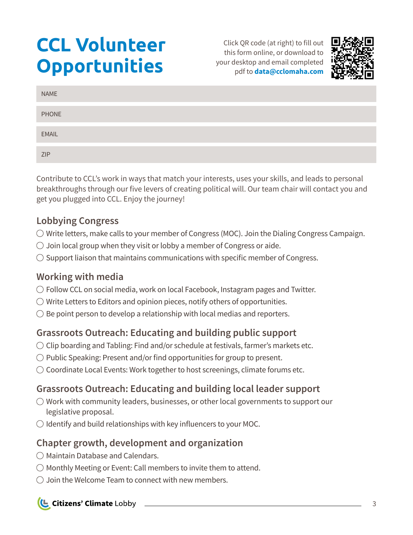## <span id="page-2-0"></span>**CCL Volunteer Opportunities**

Click QR code (at right) to fill out this form online, or download to your desktop and email completed pdf to **[data@cclomaha.com](mailto:data%40cclomaha.com%20?subject=)** 



| <b>NAME</b> |  |
|-------------|--|
| PHONE       |  |
| EMAIL       |  |
| ZIP         |  |

Contribute to CCL's work in ways that match your interests, uses your skills, and leads to personal breakthroughs through our five levers of creating political will. Our team chair will contact you and get you plugged into CCL. Enjoy the journey!

### **Lobbying Congress**

- $\bigcirc$  Write letters, make calls to your member of Congress (MOC). Join the Dialing Congress Campaign.
- $\bigcirc$  Join local group when they visit or lobby a member of Congress or aide.
- $\bigcirc$  Support liaison that maintains communications with specific member of Congress.

### **Working with media**

- $\bigcirc$  Follow CCL on social media, work on local Facebook, Instagram pages and Twitter.
- $\bigcirc$  Write Letters to Editors and opinion pieces, notify others of opportunities.
- $\bigcirc$  Be point person to develop a relationship with local medias and reporters.

### **Grassroots Outreach: Educating and building public support**

- $\bigcirc$  Clip boarding and Tabling: Find and/or schedule at festivals, farmer's markets etc.
- $\bigcirc$  Public Speaking: Present and/or find opportunities for group to present.
- $\bigcirc$  Coordinate Local Events: Work together to host screenings, climate forums etc.

### **Grassroots Outreach: Educating and building local leader support**

- $\bigcirc$  Work with community leaders, businesses, or other local governments to support our legislative proposal.
- $\bigcirc$  Identify and build relationships with key influencers to your MOC.

### **Chapter growth, development and organization**

- $\bigcirc$  Maintain Database and Calendars.
- $\bigcirc$  Monthly Meeting or Event: Call members to invite them to attend.
- $\bigcirc$  Join the Welcome Team to connect with new members.

**L** Citizens' Climate Lobby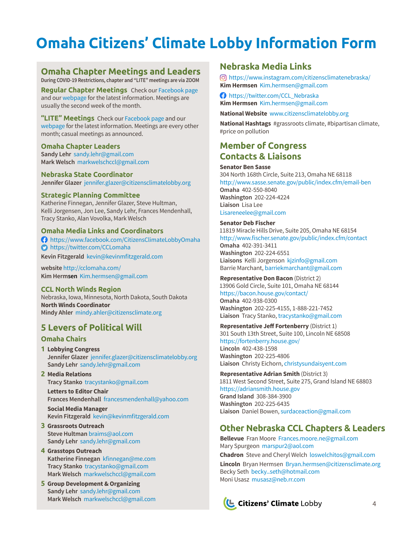## <span id="page-3-0"></span>**Omaha Citizens' Climate Lobby Information Form**

### **Omaha Chapter Meetings and Leaders**

**During COVID-19 Restrictions, chapter and "LITE" meetings are via ZOOM**

**Regular Chapter Meetings** [Check our Facebook page](https://www.facebook.com/CitizensClimateLobbyOmaha) and our [webpage](https://cclomaha.com/) for the latest information. Meetings are usually the second week of the month.

**"LITE" Meetings** [Check our Facebook page](https://www.facebook.com/CitizensClimateLobbyOmaha) and our [webpage](https://cclomaha.com/) for the latest information. Meetings are every other month; casual meetings as announced.

#### **Omaha Chapter Leaders**

**Sandy Lehr** [sandy.lehr@gmail.com](mailto:sandy.lehr%40gmail.com?subject=) **Mark Welsch** [markwelschccl@gmail.com](mailto:markwelschccl%40gmail.com?subject=)

**Nebraska State Coordinator Jennifer Glazer** [jennifer.glazer@citizensclimatelobby.org](mailto:jennifer.glazer%40citizensclimatelobby.org?subject=) 

#### **Strategic Planning Committee**

Katherine Finnegan, Jennifer Glazer, Steve Hultman, Kelli Jorgensen, Jon Lee, Sandy Lehr, Frances Mendenhall, Tracy Stanko, Alan Vovolka, Mark Welsch

#### **Omaha Media Links and Coordinators**

 <https://www.facebook.com/CitizensClimateLobbyOmaha>  $\bullet$  https://twitter.com/CCLomaha **Kevin Fitzgerald** [kevin@kevinmfitzgerald.com](mailto:kevin%40kevinmfitzgerald.com%20?subject=)

**website** <http://cclomaha.com/> **Kim Hermsen** [Kim.hermsen@gmail.com](mailto:Kim.hermsen%40gmail.com?subject=)

**CCL North Winds Region** Nebraska, Iowa, Minnesota, North Dakota, South Dakota **North Winds Coordinator Mindy Ahler** [mindy.ahler@citizensclimate.org](mailto:mindy.ahler%40citizensclimate.org%20?subject=) 

### **5 Levers of Political Will**

### **Omaha Chairs**

- **1 Lobbying Congress Jennifer Glazer** [jennifer.glazer@citizensclimatelobby.org](mailto:jennifer.glazer%40citizensclimatelobby.org?subject=) **Sandy Lehr** [sandy.lehr@gmail.com](mailto:sandy.lehr%40gmail.com?subject=)
- **2 Media Relations Tracy Stanko** [tracystanko@gmail.com](mailto:tracystanko%40gmail.com?subject=)

**Letters to Editor Chair Frances Mendenhall** [francesmendenhall@yahoo.com](mailto:francesmendenhall%40yahoo.com?subject=)

**Social Media Manager Kevin Fitzgerald** [kevin@kevinmfitzgerald.com](mailto:kevin%40kevinmfitzgerald.com?subject=)

- **3 Grassroots Outreach Steve Hultman** braims@aol.com **Sandy Lehr** [sandy.lehr@gmail.com](mailto:sandy.lehr%40gmail.com?subject=)
- **4 Grasstops Outreach Katherine Finnegan** [kfinnegan@me.com](mailto:kfinnegan%40me.com?subject=) **Tracy Stanko** [tracystanko@gmail.com](mailto:tracystanko%40gmail.com?subject=) **Mark Welsch** [markwelschccl@gmail.com](mailto:markwelschccl%40gmail.com?subject=)
- **5 Group Development & Organizing Sandy Lehr** [sandy.lehr@gmail.com](mailto:sandy.lehr%40gmail.com?subject=) **Mark Welsch** [markwelschccl@gmail.com](mailto:markwelschccl%40gmail.com?subject=)

### **Nebraska Media Links**

 <https://www.instagram.com/citizensclimatenebraska/> **Kim Hermsen** [Kim.hermsen@gmail.com](mailto:Kim.hermsen%40gmail.com?subject=)

**[https://twitter.com/CCL\\_Nebraska](https://twitter.com/CCL_Nebraska) Kim Hermsen** [Kim.hermsen@gmail.com](mailto:Kim.hermsen%40gmail.com?subject=)

**National Website** [www.citizensclimatelobby.org](https://citizensclimatelobby.org/) 

**National Hashtags** #grassroots climate, #bipartisan climate, #price on pollution

### **Member of Congress Contacts & Liaisons**

#### **Senator Ben Sasse**

304 North 168th Circle, Suite 213, Omaha NE 68118 [http://www.sasse.senate.gov/public/index.cfm/email-ben](https://www.sasse.senate.gov/public/index.cfm/email-ben) **Omaha** 402-550-8040 **Washington** 202-224-4224 **Liaison** Lisa Lee [Lisareneelee@gmail.com](mailto:Lisareneelee%40gmail.com?subject=)

#### **Senator Deb Fischer**

11819 Miracle Hills Drive, Suite 205, Omaha NE 68154 [http://www.fischer.senate.gov/public/index.cfm/contact](https://www.fischer.senate.gov/public/index.cfm/contact) **Omaha** 402-391-3411 **Washington** 202-224-6551 **Liaisons** Kelli Jorgenson [kjzinfo@gmail.com](mailto:kjzinfo%40gmail.com%20?subject=) Barrie Marchant, [barriekmarchant@gmail.com](mailto:?subject=)

**Representative Don Bacon** (District 2) 13906 Gold Circle, Suite 101, Omaha NE 68144 <https://bacon.house.gov/contact/> **Omaha** 402-938-0300 **Washington** 202-225-4155, 1-888-221-7452 **Liaison** Tracy Stanko, [tracystanko@gmail.com](mailto:tracystanko%40gmail.com?subject=)

**Representative Jeff Fortenberry** (District 1) 301 South 13th Street, Suite 100, Lincoln NE 68508 <https://fortenberry.house.gov/> **Lincoln** 402-438-1598 **Washington** 202-225-4806 **Liaison** Christy Eichorn, [christysundaisyent.com](mailto:christysundaisyent.com?subject=)

**Representative Adrian Smith** (District 3) 1811 West Second Street, Suite 275, Grand Island NE 68803 [https://adriansmith.house.gov](https://adriansmith.house.gov/) **Grand Island** 308-384-3900 **Washington** 202-225-6435 **Liaison** Daniel Bowen, [surdaceaction@gmail.com](mailto:surdaceaction%40gmail.com?subject=)

### **Other Nebraska CCL Chapters & Leaders**

**Bellevue** Fran Moore [Frances.moore.ne@gmail.com](mailto:Frances.moore.ne%40gmail.com?subject=) Mary Spurgeon [marspur2@aol.com](mailto:marspur2%40aol.com?subject=) **Chadron** Steve and Cheryl Welch [loswelchitos@gmail.com](mailto:loswelchitos%40gmail.com?subject=) **Lincoln** Bryan Hermsen [Bryan.hermsen@citizensclimate.org](mailto:Bryan.hermsen%40citizensclimate.org?subject=) Becky Seth [becky\\_seth@hotmail.com](mailto:becky_seth%40hotmail.com%20?subject=) Moni Usasz [musasz@neb.rr.com](mailto:musasz%40neb.rr.com?subject=)

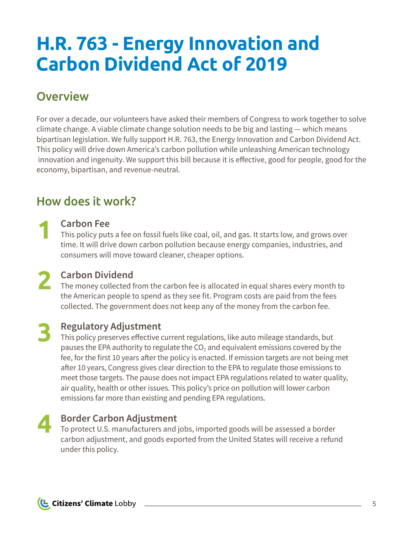## <span id="page-4-0"></span>**H.R. 763 - Energy Innovation and Carbon Dividend Act of 2019**

### **Overview**

For over a decade, our volunteers have asked their members of Congress to work together to solve climate change. A viable climate change solution needs to be big and lasting — which means bipartisan legislation. We fully support H.R. 763, the Energy Innovation and Carbon Dividend Act. This policy will drive down America's carbon pollution while unleashing American technology innovation and ingenuity. We support this bill because it is effective, good for people, good for the economy, bipartisan, and revenue-neutral.

### How does it work?

### **Carbon Fee**

**1**

This policy puts a fee on fossil fuels like coal, oil, and gas. It starts low, and grows over time. It will drive down carbon pollution because energy companies, industries, and consumers will move toward cleaner, cheaper options.

**Carbon Dividend 2**

The money collected from the carbon fee is allocated in equal shares every month to the American people to spend as they see fit. Program costs are paid from the fees collected. The government does not keep any of the money from the carbon fee.

### **Regulatory Adjustment 3**

This policy preserves effective current regulations, like auto mileage standards, but pauses the EPA authority to regulate the  $CO<sub>2</sub>$  and equivalent emissions covered by the fee, for the first 10 years after the policy is enacted. If emission targets are not being met after 10 years, Congress gives clear direction to the EPA to regulate those emissions to meet those targets. The pause does not impact EPA regulations related to water quality, air quality, health or other issues. This policy's price on pollution will lower carbon emissions far more than existing and pending EPA regulations.

## **4**

### **Border Carbon Adjustment**

To protect U.S. manufacturers and jobs, imported goods will be assessed a border carbon adjustment, and goods exported from the United States will receive a refund under this policy.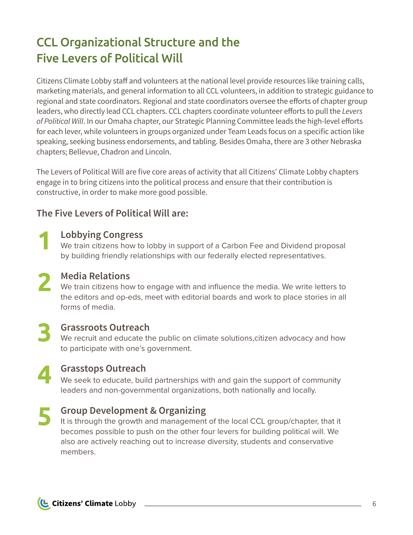## <span id="page-5-0"></span>CCL Organizational Structure and the Five Levers of Political Will

Citizens Climate Lobby staff and volunteers at the national level provide resources like training calls, marketing materials, and general information to all CCL volunteers, in addition to strategic guidance to regional and state coordinators. Regional and state coordinators oversee the efforts of chapter group leaders, who directly lead CCL chapters. CCL chapters coordinate volunteer efforts to pull the *Levers of Political Will*. In our Omaha chapter, our Strategic Planning Committee leads the high-level efforts for each lever, while volunteers in groups organized under Team Leads focus on a specific action like speaking, seeking business endorsements, and tabling. Besides Omaha, there are 3 other Nebraska chapters; Bellevue, Chadron and Lincoln.

The Levers of Political Will are five core areas of activity that all Citizens' Climate Lobby chapters engage in to bring citizens into the political process and ensure that their contribution is constructive, in order to make more good possible.

### **The Five Levers of Political Will are:**

- **Lobbying Congress** We train citizens how to lobby in support of a Carbon Fee and Dividend proposal by building friendly relationships with our federally elected representatives.
- **Media Relations** Media Relations<br>We train citizens how to engage with and influence the media. We write letters to<br>the editors and an eds mest with editorial heard and works also a statistic in all the editors and op-eds, meet with editorial boards and work to place stories in all forms of media.
- **3**

**1**

### **Grassroots Outreach**

We recruit and educate the public on climate solutions, citizen advocacy and how to participate with one's government.



### **Grasstops Outreach**

We seek to educate, build partnerships with and gain the support of community leaders and non-governmental organizations, both nationally and locally.

### **Group Development & Organizing 5**

It is through the growth and management of the local CCL group/chapter, that it becomes possible to push on the other four levers for building political will. We also are actively reaching out to increase diversity, students and conservative members.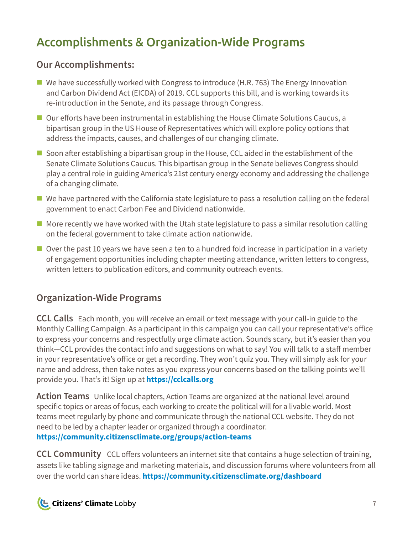## <span id="page-6-0"></span>Accomplishments & Organization-Wide Programs

### **Our Accomplishments:**

- $\blacksquare$  We have successfully worked with Congress to introduce (H.R. 763) The Energy Innovation and Carbon Dividend Act (EICDA) of 2019. CCL supports this bill, and is working towards its re-introduction in the Senate, and its passage through Congress.
- Our efforts have been instrumental in establishing the House Climate Solutions Caucus, a bipartisan group in the US House of Representatives which will explore policy options that address the impacts, causes, and challenges of our changing climate.
- $\blacksquare$  Soon after establishing a bipartisan group in the House, CCL aided in the establishment of the Senate Climate Solutions Caucus. This bipartisan group in the Senate believes Congress should play a central role in guiding America's 21st century energy economy and addressing the challenge of a changing climate.
- We have partnered with the California state legislature to pass a resolution calling on the federal government to enact Carbon Fee and Dividend nationwide.
- $\blacksquare$  More recently we have worked with the Utah state legislature to pass a similar resolution calling on the federal government to take climate action nationwide.
- $\blacksquare$  Over the past 10 years we have seen a ten to a hundred fold increase in participation in a variety of engagement opportunities including chapter meeting attendance, written letters to congress, written letters to publication editors, and community outreach events.

### **Organization-Wide Programs**

**CCL Calls** Each month, you will receive an email or text message with your call-in guide to the Monthly Calling Campaign. As a participant in this campaign you can call your representative's office to express your concerns and respectfully urge climate action. Sounds scary, but it's easier than you think—CCL provides the contact info and suggestions on what to say! You will talk to a staff member in your representative's office or get a recording. They won't quiz you. They will simply ask for your name and address, then take notes as you express your concerns based on the talking points we'll provide you. That's it! Sign up at**<https://cclcalls.org>**

**Action Teams** Unlike local chapters, Action Teams are organized at the national level around specific topics or areas of focus, each working to create the political will for a livable world. Most teams meet regularly by phone and communicate through the national CCL website. They do not need to be led by a chapter leader or organized through a coordinator. **<https://community.citizensclimate.org/groups/action-teams>**

**CCL Community** CCL offers volunteers an internet site that contains a huge selection of training, assets like tabling signage and marketing materials, and discussion forums where volunteers from all over the world can share ideas. **<https://community.citizensclimate.org/dashboard>**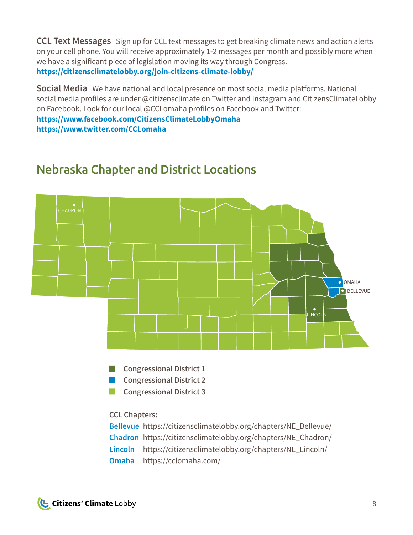<span id="page-7-0"></span>**CCL Text Messages** Sign up for CCL text messages to get breaking climate news and action alerts on your cell phone. You will receive approximately 1-2 messages per month and possibly more when we have a significant piece of legislation moving its way through Congress. **<https://citizensclimatelobby.org/join-citizens-climate-lobby/>**

**Social Media** We have national and local presence on most social media platforms. National social media profiles are under @citizensclimate on Twitter and Instagram and CitizensClimateLobby on Facebook. Look for our local @CCLomaha profiles on Facebook and Twitter:

**<https://www.facebook.com/CitizensClimateLobbyOmaha> <https://www.twitter.com/CCLomaha>**

### Nebraska Chapter and District Locations



**Congressional District 2** 

**Congressional District 3** 

**CCL Chapters:** 

**[Bellevue](https://citizensclimatelobby.org/chapters/NE_Bellevue/)** [https://citizensclimatelobby.org/chapters/NE\\_Bellevue/](Chadron	https://citizensclimatelobby.org/chapters/NE_Chadron/) **[Chadron](https://citizensclimatelobby.org/chapters/NE_Chadron/)** [https://citizensclimatelobby.org/chapters/NE\\_Chadron/](https://citizensclimatelobby.org/chapters/NE_Chadron/) **[Lincoln](https://citizensclimatelobby.org/chapters/NE_Lincoln/)** [https://citizensclimatelobby.org/chapters/NE\\_Lincoln/](https://citizensclimatelobby.org/chapters/NE_Lincoln/) **[Omaha](https://cclomaha.com/)** <https://cclomaha.com/>